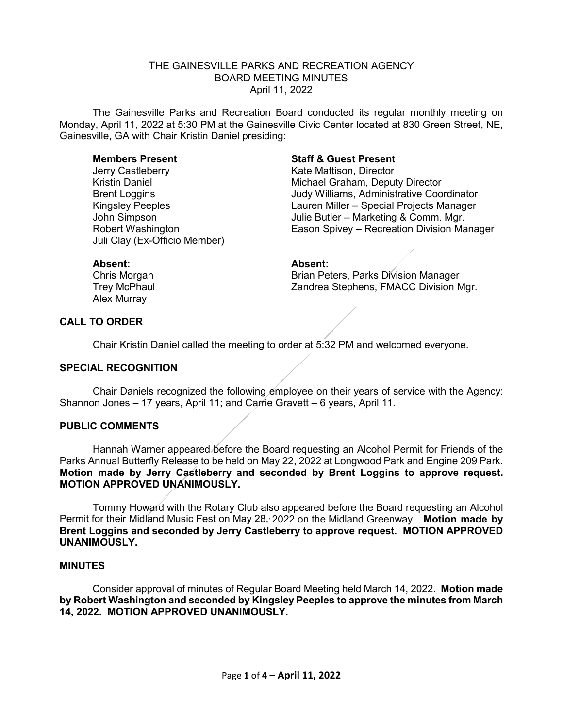# THE GAINESVILLE PARKS AND RECREATION AGENCY BOARD MEETING MINUTES April 11, 2022

The Gainesville Parks and Recreation Board conducted its regular monthly meeting on Monday, April 11, 2022 at 5:30 PM at the Gainesville Civic Center located at 830 Green Street, NE, Gainesville, GA with Chair Kristin Daniel presiding:

Jerry Castleberry **Exercise Serverse Control** Kate Mattison, Director Juli Clay (Ex-Officio Member)

# **Members Present Staff & Guest Present**

Kristin Daniel **Michael Graham, Deputy Director** Brent Loggins Judy Williams, Administrative Coordinator Kingsley Peeples Lauren Miller – Special Projects Manager Julie Butler – Marketing & Comm. Mgr. Robert Washington Eason Spivey – Recreation Division Manager

Alex Murray

#### **Absent: Absent:**

Chris Morgan **Brian Peters, Parks Division Manager** Brian Peters, Parks Division Manager Trey McPhaul **Trey McPhaul 2018** Zandrea Stephens, FMACC Division Mgr.

#### **CALL TO ORDER**

Chair Kristin Daniel called the meeting to order at 5:32 PM and welcomed everyone.

#### **SPECIAL RECOGNITION**

Chair Daniels recognized the following employee on their years of service with the Agency: Shannon Jones – 17 years, April 11; and Carrie Gravett – 6 years, April 11.

#### **PUBLIC COMMENTS**

Hannah Warner appeared before the Board requesting an Alcohol Permit for Friends of the Parks Annual Butterfly Release to be held on May 22, 2022 at Longwood Park and Engine 209 Park. **Motion made by Jerry Castleberry and seconded by Brent Loggins to approve request. MOTION APPROVED UNANIMOUSLY.**

Tommy Howard with the Rotary Club also appeared before the Board requesting an Alcohol Permit for their Midland Music Fest on May 28, 2022 on the Midland Greenway. Motion made by **Brent Loggins and seconded by Jerry Castleberry to approve request. MOTION APPROVED UNANIMOUSLY.** 

### **MINUTES**

Consider approval of minutes of Regular Board Meeting held March 14, 2022. **Motion made by Robert Washington and seconded by Kingsley Peeples to approve the minutes from March 14, 2022. MOTION APPROVED UNANIMOUSLY.**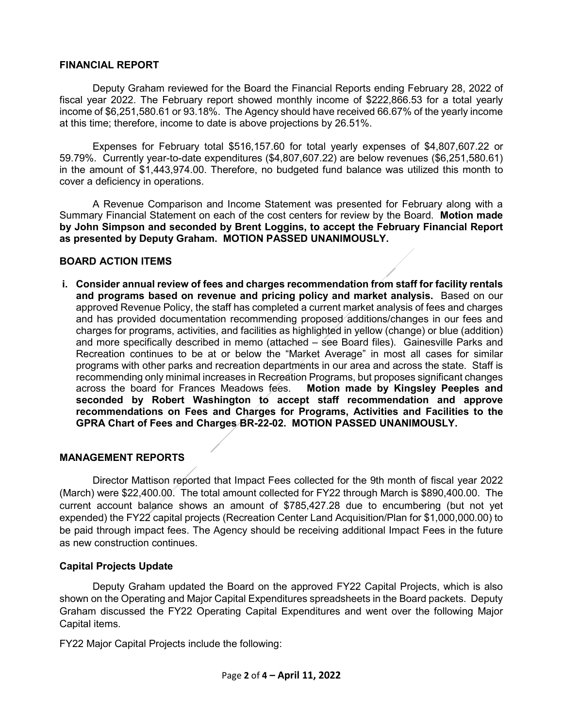## **FINANCIAL REPORT**

Deputy Graham reviewed for the Board the Financial Reports ending February 28, 2022 of fiscal year 2022. The February report showed monthly income of \$222,866.53 for a total yearly income of \$6,251,580.61 or 93.18%. The Agency should have received 66.67% of the yearly income at this time; therefore, income to date is above projections by 26.51%.

Expenses for February total \$516,157.60 for total yearly expenses of \$4,807,607.22 or 59.79%. Currently year-to-date expenditures (\$4,807,607.22) are below revenues (\$6,251,580.61) in the amount of \$1,443,974.00. Therefore, no budgeted fund balance was utilized this month to cover a deficiency in operations.

A Revenue Comparison and Income Statement was presented for February along with a Summary Financial Statement on each of the cost centers for review by the Board. **Motion made by John Simpson and seconded by Brent Loggins, to accept the February Financial Report as presented by Deputy Graham. MOTION PASSED UNANIMOUSLY.** 

# **BOARD ACTION ITEMS**

**i. Consider annual review of fees and charges recommendation from staff for facility rentals and programs based on revenue and pricing policy and market analysis.** Based on our approved Revenue Policy, the staff has completed a current market analysis of fees and charges and has provided documentation recommending proposed additions/changes in our fees and charges for programs, activities, and facilities as highlighted in yellow (change) or blue (addition) and more specifically described in memo (attached – see Board files). Gainesville Parks and Recreation continues to be at or below the "Market Average" in most all cases for similar programs with other parks and recreation departments in our area and across the state. Staff is recommending only minimal increases in Recreation Programs, but proposes significant changes across the board for Frances Meadows fees. Motion made by Kingsley Peeples and across the board for Frances Meadows fees. **seconded by Robert Washington to accept staff recommendation and approve recommendations on Fees and Charges for Programs, Activities and Facilities to the GPRA Chart of Fees and Charges BR-22-02. MOTION PASSED UNANIMOUSLY.**

#### **MANAGEMENT REPORTS**

Director Mattison reported that Impact Fees collected for the 9th month of fiscal year 2022 (March) were \$22,400.00. The total amount collected for FY22 through March is \$890,400.00. The current account balance shows an amount of \$785,427.28 due to encumbering (but not yet expended) the FY22 capital projects (Recreation Center Land Acquisition/Plan for \$1,000,000.00) to be paid through impact fees. The Agency should be receiving additional Impact Fees in the future as new construction continues.

#### **Capital Projects Update**

Deputy Graham updated the Board on the approved FY22 Capital Projects, which is also shown on the Operating and Major Capital Expenditures spreadsheets in the Board packets. Deputy Graham discussed the FY22 Operating Capital Expenditures and went over the following Major Capital items.

FY22 Major Capital Projects include the following: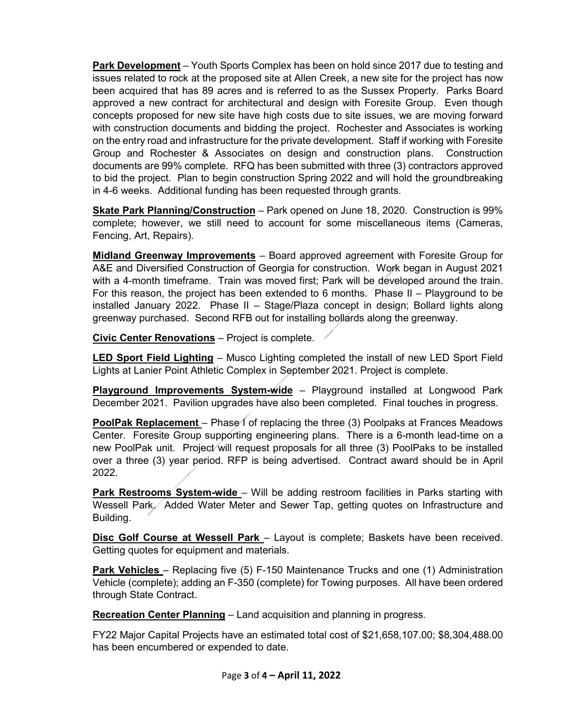**Park Development** – Youth Sports Complex has been on hold since 2017 due to testing and issues related to rock at the proposed site at Allen Creek, a new site for the project has now been acquired that has 89 acres and is referred to as the Sussex Property. Parks Board approved a new contract for architectural and design with Foresite Group. Even though concepts proposed for new site have high costs due to site issues, we are moving forward with construction documents and bidding the project. Rochester and Associates is working on the entry road and infrastructure for the private development. Staff if working with Foresite Group and Rochester & Associates on design and construction plans. Construction documents are 99% complete. RFQ has been submitted with three (3) contractors approved to bid the project. Plan to begin construction Spring 2022 and will hold the groundbreaking in 4-6 weeks. Additional funding has been requested through grants.

**Skate Park Planning/Construction** – Park opened on June 18, 2020. Construction is 99% complete; however, we still need to account for some miscellaneous items (Cameras, Fencing, Art, Repairs).

**Midland Greenway Improvements** – Board approved agreement with Foresite Group for A&E and Diversified Construction of Georgia for construction. Work began in August 2021 with a 4-month timeframe. Train was moved first; Park will be developed around the train. For this reason, the project has been extended to 6 months. Phase II – Playground to be installed January 2022. Phase II – Stage/Plaza concept in design; Bollard lights along greenway purchased. Second RFB out for installing bollards along the greenway.

**Civic Center Renovations** – Project is complete.

**LED Sport Field Lighting** – Musco Lighting completed the install of new LED Sport Field Lights at Lanier Point Athletic Complex in September 2021. Project is complete.

**Playground Improvements System-wide** – Playground installed at Longwood Park December 2021. Pavilion upgrades have also been completed. Final touches in progress.

**PoolPak Replacement** – Phase I of replacing the three (3) Poolpaks at Frances Meadows Center. Foresite Group supporting engineering plans. There is a 6-month lead-time on a new PoolPak unit. Project will request proposals for all three (3) PoolPaks to be installed over a three (3) year period. RFP is being advertised. Contract award should be in April 2022.

**Park Restrooms System-wide** – Will be adding restroom facilities in Parks starting with Wessell Park. Added Water Meter and Sewer Tap, getting quotes on Infrastructure and Building.

**Disc Golf Course at Wessell Park** – Layout is complete; Baskets have been received. Getting quotes for equipment and materials.

**Park Vehicles** – Replacing five (5) F-150 Maintenance Trucks and one (1) Administration Vehicle (complete); adding an F-350 (complete) for Towing purposes. All have been ordered through State Contract.

**Recreation Center Planning** – Land acquisition and planning in progress.

FY22 Major Capital Projects have an estimated total cost of \$21,658,107.00; \$8,304,488.00 has been encumbered or expended to date.